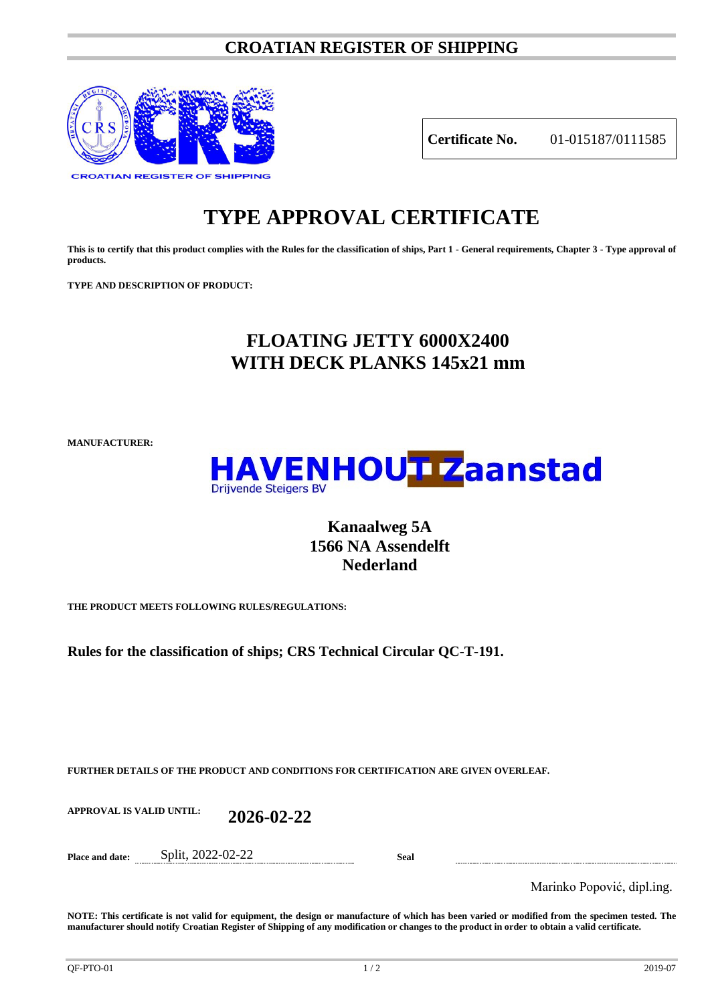## **CROATIAN REGISTER OF SHIPPING**



**Certificate No.** 01-015187/0111585

## **TYPE APPROVAL CERTIFICATE**

**This is to certify that this product complies with the Rules for the classification of ships, Part 1 - General requirements, Chapter 3 - Type approval of products.**

**TYPE AND DESCRIPTION OF PRODUCT:** 

## **FLOATING JETTY 6000X2400 WITH DECK PLANKS 145x21 mm**

**MANUFACTURER:**



## **Kanaalweg 5A 1566 NA Assendelft Nederland**

**THE PRODUCT MEETS FOLLOWING RULES/REGULATIONS:**

**Rules for the classification of ships; CRS Technical Circular QC-T-191.**

**FURTHER DETAILS OF THE PRODUCT AND CONDITIONS FOR CERTIFICATION ARE GIVEN OVERLEAF.**

**APPROVAL IS VALID UNTIL: 2026-02-22**

**Place and date:** Split, 2022-02-22 **Seal**

Marinko Popović, dipl.ing.

**NOTE: This certificate is not valid for equipment, the design or manufacture of which has been varied or modified from the specimen tested. The manufacturer should notify Croatian Register of Shipping of any modification or changes to the product in order to obtain a valid certificate.**